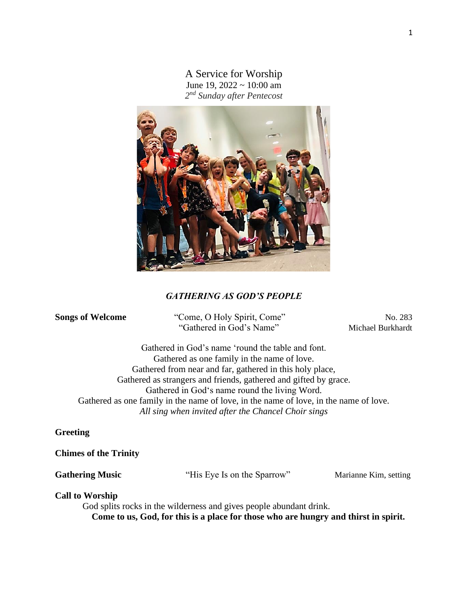A Service for Worship June 19,  $2022 \sim 10:00$  am *2 nd Sunday after Pentecost*



# *GATHERING AS GOD'S PEOPLE*

**Songs of Welcome** "Come, O Holy Spirit, Come" No. 283 "Gathered in God's Name" Michael Burkhardt

Gathered in God's name 'round the table and font. Gathered as one family in the name of love. Gathered from near and far, gathered in this holy place, Gathered as strangers and friends, gathered and gifted by grace. Gathered in God's name round the living Word. Gathered as one family in the name of love, in the name of love, in the name of love. *All sing when invited after the Chancel Choir sings*

## **Greeting**

#### **Chimes of the Trinity**

Gathering Music **The Cathering Music** "His Eye Is on the Sparrow" Marianne Kim, setting

#### **Call to Worship**

 God splits rocks in the wilderness and gives people abundant drink. **Come to us, God, for this is a place for those who are hungry and thirst in spirit.**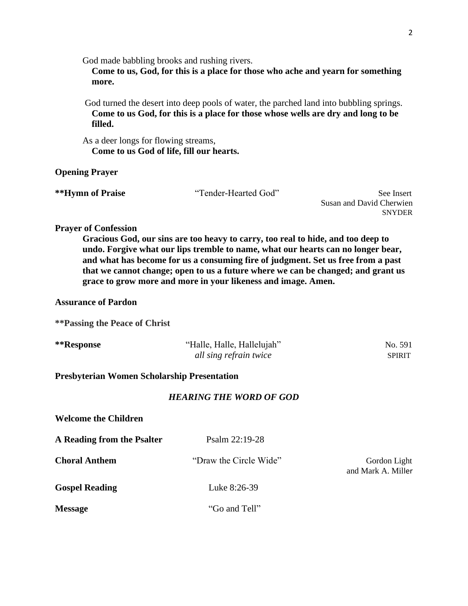God made babbling brooks and rushing rivers.

 **Come to us, God, for this is a place for those who ache and yearn for something more.**

 God turned the desert into deep pools of water, the parched land into bubbling springs.  **Come to us God, for this is a place for those whose wells are dry and long to be filled.**

 As a deer longs for flowing streams,  **Come to us God of life, fill our hearts.**

## **Opening Prayer**

| **Hymn of Praise | "Tender-Hearted God" | See Insert               |
|------------------|----------------------|--------------------------|
|                  |                      | Sucan and David Charwign |

Susan and David Cherwien SNYDER

#### **Prayer of Confession**

**Gracious God, our sins are too heavy to carry, too real to hide, and too deep to undo. Forgive what our lips tremble to name, what our hearts can no longer bear, and what has become for us a consuming fire of judgment. Set us free from a past that we cannot change; open to us a future where we can be changed; and grant us grace to grow more and more in your likeness and image. Amen.** 

## **Assurance of Pardon**

**\*\*Passing the Peace of Christ**

| **Response | "Halle, Halle, Hallelujah" | No. 591 |
|------------|----------------------------|---------|
|            | all sing refrain twice     | SPIRIT  |

#### **Presbyterian Women Scholarship Presentation**

## *HEARING THE WORD OF GOD*

**Welcome the Children**

| A Reading from the Psalter | Psalm 22:19-28         |                                    |
|----------------------------|------------------------|------------------------------------|
| <b>Choral Anthem</b>       | "Draw the Circle Wide" | Gordon Light<br>and Mark A. Miller |
| <b>Gospel Reading</b>      | Luke 8:26-39           |                                    |
| <b>Message</b>             | "Go and Tell"          |                                    |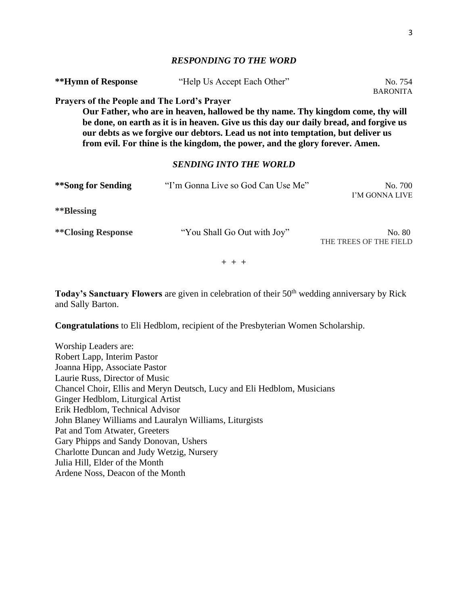# *RESPONDING TO THE WORD*

| **Hymn of Response                                 | "Help Us Accept Each Other"                                                                                                                                                                                                                                                                                                                   | No. 754<br><b>BARONITA</b>       |
|----------------------------------------------------|-----------------------------------------------------------------------------------------------------------------------------------------------------------------------------------------------------------------------------------------------------------------------------------------------------------------------------------------------|----------------------------------|
| <b>Prayers of the People and The Lord's Prayer</b> | Our Father, who are in heaven, hallowed be thy name. Thy kingdom come, thy will<br>be done, on earth as it is in heaven. Give us this day our daily bread, and forgive us<br>our debts as we forgive our debtors. Lead us not into temptation, but deliver us<br>from evil. For thine is the kingdom, the power, and the glory forever. Amen. |                                  |
|                                                    | <b>SENDING INTO THE WORLD</b>                                                                                                                                                                                                                                                                                                                 |                                  |
| **Song for Sending                                 | "I'm Gonna Live so God Can Use Me"                                                                                                                                                                                                                                                                                                            | No. 700<br>I'M GONNA LIVE        |
| **Blessing                                         |                                                                                                                                                                                                                                                                                                                                               |                                  |
| **Closing Response                                 | "You Shall Go Out with Joy"                                                                                                                                                                                                                                                                                                                   | No. 80<br>THE TREES OF THE FIELD |
|                                                    | $+ + +$                                                                                                                                                                                                                                                                                                                                       |                                  |

Today's Sanctuary Flowers are given in celebration of their 50<sup>th</sup> wedding anniversary by Rick and Sally Barton.

**Congratulations** to Eli Hedblom, recipient of the Presbyterian Women Scholarship.

Worship Leaders are: Robert Lapp, Interim Pastor Joanna Hipp, Associate Pastor Laurie Russ, Director of Music Chancel Choir, Ellis and Meryn Deutsch, Lucy and Eli Hedblom, Musicians Ginger Hedblom, Liturgical Artist Erik Hedblom, Technical Advisor John Blaney Williams and Lauralyn Williams, Liturgists Pat and Tom Atwater, Greeters Gary Phipps and Sandy Donovan, Ushers Charlotte Duncan and Judy Wetzig, Nursery Julia Hill, Elder of the Month Ardene Noss, Deacon of the Month